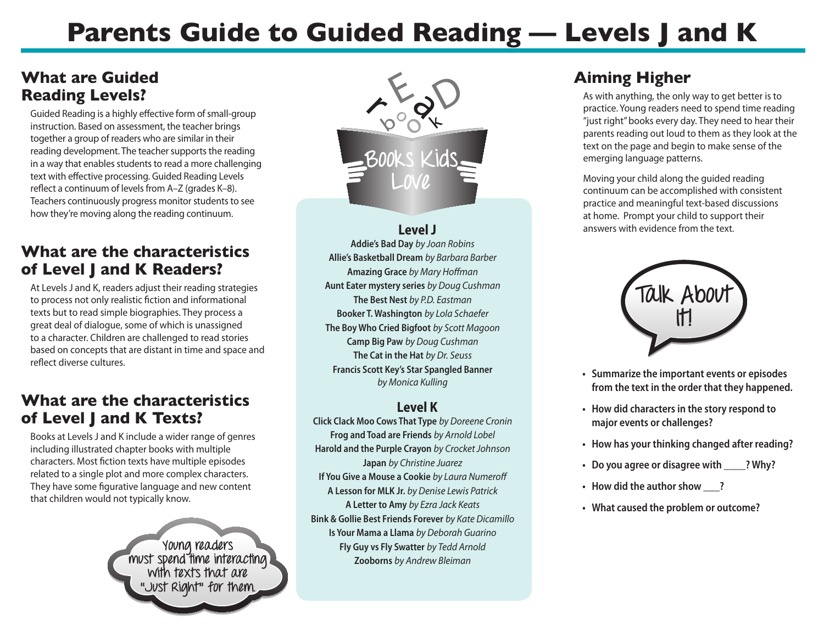# **Parents Guide to Guided Reading — Levels J and K**

# **What are Guided Reading Levels?**

Guided Reading is a highly effective form of small-group instruction. Based on assessment, the teacher brings together a group of readers who are similar in their reading development. The teacher supports the reading in a way that enables students to read a more challenging text with effective processing. Guided Reading Levels reflect a continuum of levels from A–Z (grades K–8). Teachers continuously progress monitor students to see how they're moving along the reading continuum.

## **What are the characteristics of Level J and K Readers?**

At Levels J and K, readers adjust their reading strategies to process not only realistic fiction and informational texts but to read simple biographies. They process a great deal of dialogue, some of which is unassigned to a character. Children are challenged to read stories based on concepts that are distant in time and space and reflect diverse cultures.

## **What are the characteristics of Level J and K Texts?**

Books at Levels J and K include a wider range of genres including illustrated chapter books with multiple characters. Most fiction texts have multiple episodes related to a single plot and more complex characters. They have some figurative language and new content that children would not typically know.

> **Young readers must spend time interacting with texts that are "Just Right" for them.**



#### **Level J**

**Addie's Bad Day** *by Joan Robins*  **Allie's Basketball Dream** *by Barbara Barber*  **Amazing Grace** *by Mary Hoffman*  **Aunt Eater mystery series** *by Doug Cushman*  **The Best Nest** *by P.D. Eastman*  **Booker T. Washington** *by Lola Schaefer* **The Boy Who Cried Bigfoot** *by Scott Magoon* **Camp Big Paw** *by Doug Cushman* **The Cat in the Hat** *by Dr. Seuss*  **Francis Scott Key's Star Spangled Banner** *by Monica Kulling* 

#### **Level K**

**Click Clack Moo Cows That Type** *by Doreene Cronin*  **Frog and Toad are Friends** *by Arnold Lobel*  **Harold and the Purple Crayon** *by Crocket Johnson*  **Japan** *by Christine Juarez* **If You Give a Mouse a Cookie** *by Laura Numeroff*  **A Lesson for MLK Jr.** *by Denise Lewis Patrick*  **A Letter to Amy** *by Ezra Jack Keats* **Bink & Gollie Best Friends Forever** *by Kate Dicamillo* **Is Your Mama a Llama** *by Deborah Guarino*  **Fly Guy vs Fly Swatter** *by Tedd Arnold*  **Zooborns** *by Andrew Bleiman* 

# **Aiming Higher**

As with anything, the only way to get better is to practice. Young readers need to spend time reading "just right" books every day. They need to hear their parents reading out loud to them as they look at the text on the page and begin to make sense of the emerging language patterns.

Moving your child along the guided reading continuum can be accomplished with consistent practice and meaningful text-based discussions at home. Prompt your child to support their answers with evidence from the text.



- **• Summarize the important events or episodes from the text in the order that they happened.**
- **• How did charactersin the story respond to major events or challenges?**
- **• How has your thinking changed after reading?**
- **• Do you agree or disagree with \_\_\_\_? Why?**
- **• How did the authorshow \_\_\_?**
- **• What caused the problem or outcome?**